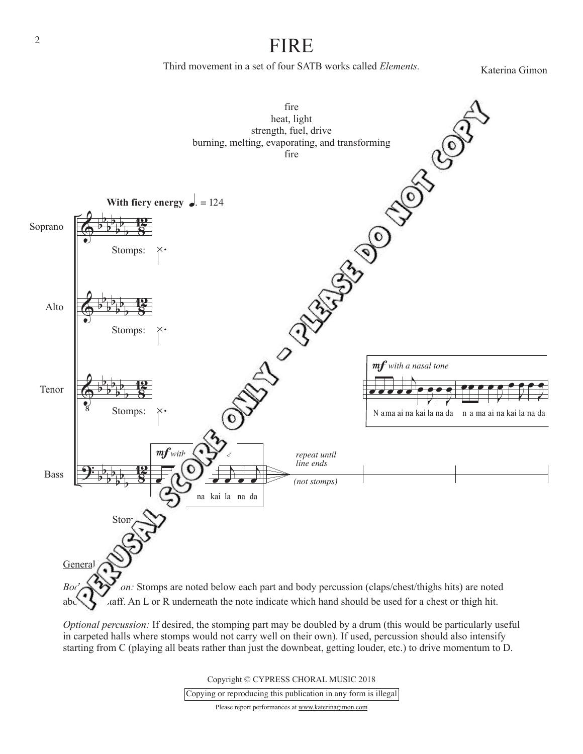## FIRE

Third movement in a set of four SATB works called *Elements.*

Katerina Gimon



in carpeted halls where stomps would not carry well on their own). If used, percussion should also intensify starting from C (playing all beats rather than just the downbeat, getting louder, etc.) to drive momentum to D.

> Copyright © CYPRESS CHORAL MUSIC 2018 Copying or reproducing this publication in any form is illegal

> > Please report performances at www.katerinagimon.com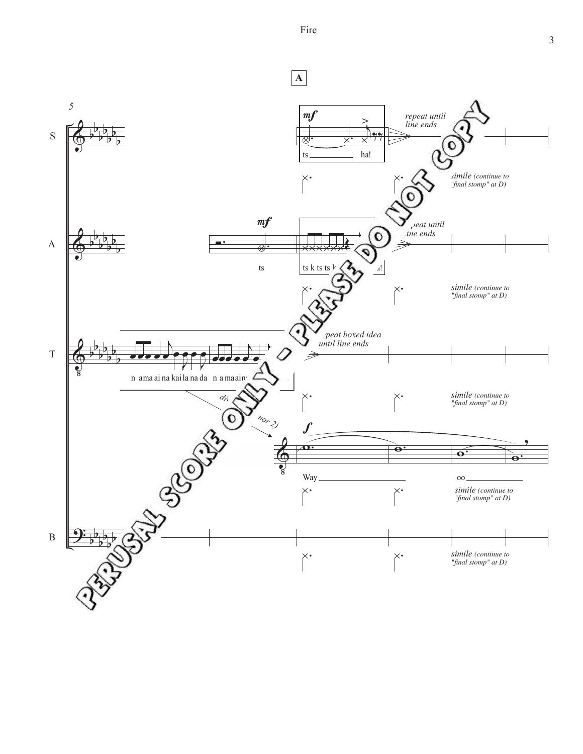Fire

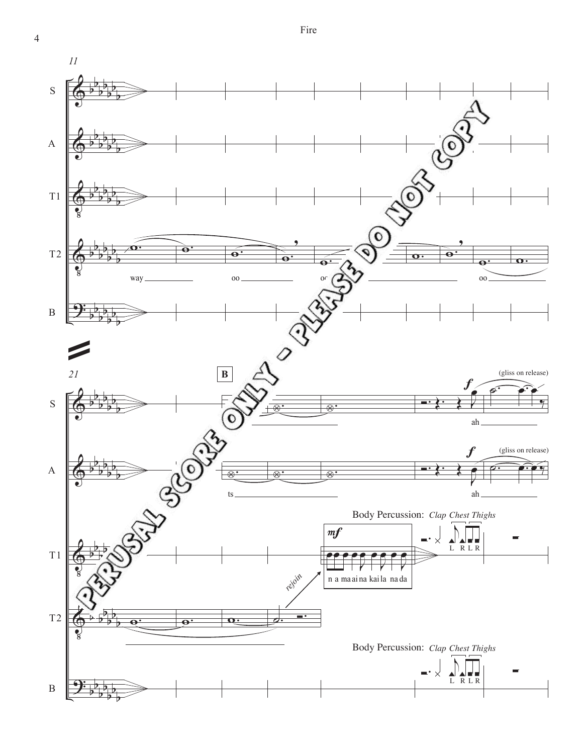$\overline{4}$ 

 $\cal{II}$ 



Fire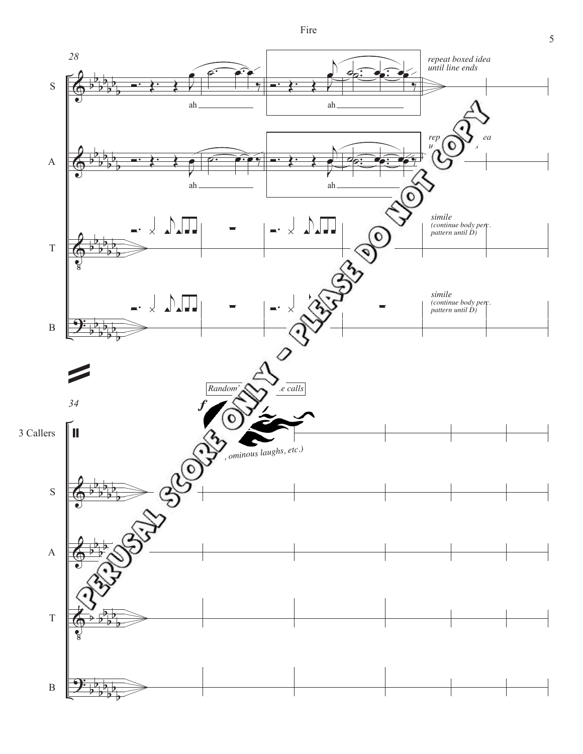Fire

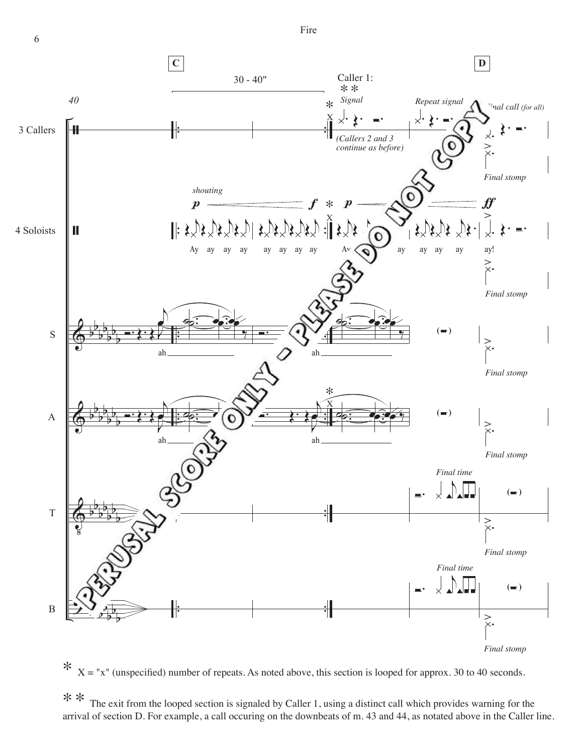Fire



 $*$   $X = "x"$  (unspecified) number of repeats. As noted above, this section is looped for approx. 30 to 40 seconds.

\*\* The exit from the looped section is signaled by Caller 1, using a distinct call which provides warning for the arrival of section D. For example, a call occuring on the downbeats of m. 43 and 44, as notated above in the Caller line.

6